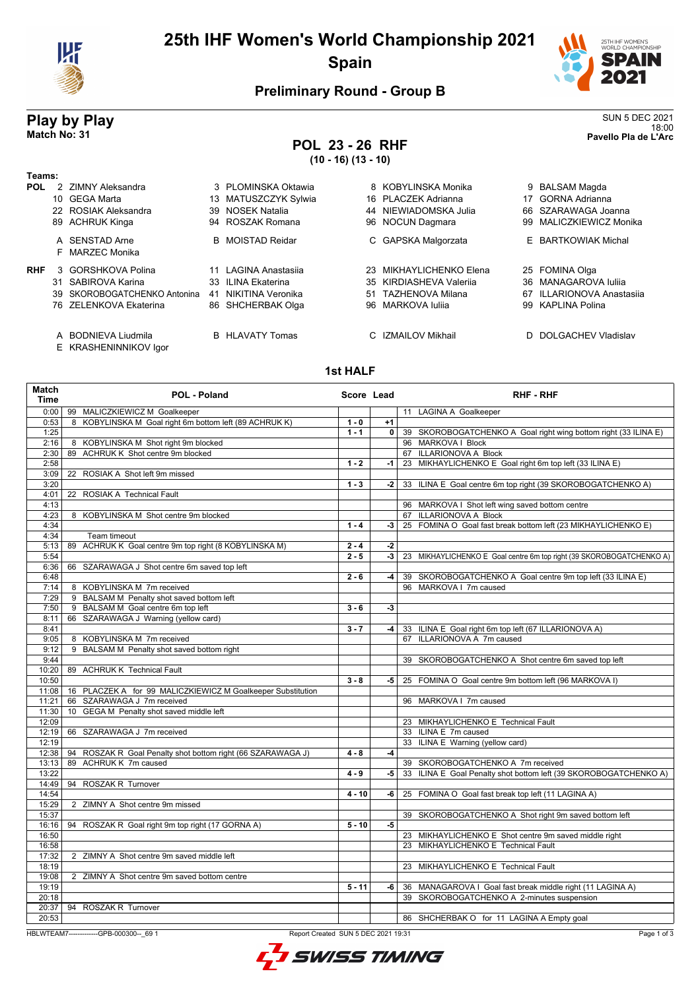

# **25th IHF Women's World Championship 2021 Spain**



## **Preliminary Round - Group B**

## **POL 23 - 26 RHF (10 - 16) (13 - 10)**

**Play by Play**<br>Match No: 31<br>Patch No: 31 18:00 **Match No: 31 Pavello Pla de L'Arc**

| Teams:     |                                              |                         |                             |                             |
|------------|----------------------------------------------|-------------------------|-----------------------------|-----------------------------|
| <b>POL</b> | 2 ZIMNY Aleksandra                           | 3 PLOMINSKA Oktawia     | 8 KOBYLINSKA Monika         | 9 BALSAM Magda              |
|            | 10 GEGA Marta                                | 13 MATUSZCZYK Sylwia    | 16 PLACZEK Adrianna         | <b>GORNA Adrianna</b><br>17 |
|            | 22 ROSIAK Aleksandra                         | 39 NOSEK Natalia        | 44 NIEWIADOMSKA Julia       | 66 SZARAWAGA Joanna         |
|            | 89 ACHRUK Kinga                              | 94 ROSZAK Romana        | 96 NOCUN Dagmara            | 99 MALICZKIEWICZ Monika     |
|            | A SENSTAD Arne<br>F MARZEC Monika            | <b>B</b> MOISTAD Reidar | C GAPSKA Malgorzata         | E BARTKOWIAK Michal         |
| <b>RHF</b> | 3 GORSHKOVA Polina                           | 11 LAGINA Anastasija    | MIKHAYLICHENKO Elena<br>23. | 25 FOMINA Olga              |
|            | 31 SABIROVA Karina                           | 33 ILINA Ekaterina      | 35 KIRDIASHEVA Valerija     | 36 MANAGAROVA Iulija        |
|            | 39 SKOROBOGATCHENKO Antonina                 | NIKITINA Veronika<br>41 | TAZHENOVA Milana<br>51      | 67 ILLARIONOVA Anastasija   |
|            | 76 ZELENKOVA Ekaterina                       | 86 SHCHERBAK Olga       | 96 MARKOVA Iulija           | 99 KAPLINA Polina           |
|            | A BODNIEVA Liudmila<br>E KRASHENINNIKOV Igor | <b>B</b> HLAVATY Tomas  | C IZMAILOV Mikhail          | D DOLGACHEV Vladislav       |

### **1st HALF**

| Match<br><b>Time</b> | POL - Poland                                                        | Score Lead |                | <b>RHF - RHF</b>                                                     |
|----------------------|---------------------------------------------------------------------|------------|----------------|----------------------------------------------------------------------|
| 0:00                 | 99 MALICZKIEWICZ M Goalkeeper                                       |            |                | 11 LAGINA A Goalkeeper                                               |
| 0:53                 | 8 KOBYLINSKA M Goal right 6m bottom left (89 ACHRUK K)              | $1 - 0$    | $+1$           |                                                                      |
| 1:25                 |                                                                     | $1 - 1$    | 0 <sup>1</sup> | 39 SKOROBOGATCHENKO A Goal right wing bottom right (33 ILINA E)      |
| 2:16                 | 8 KOBYLINSKA M Shot right 9m blocked                                |            |                | 96 MARKOVA I Block                                                   |
| 2:30                 | 89 ACHRUK K Shot centre 9m blocked                                  |            |                | 67 ILLARIONOVA A Block                                               |
| 2:58                 |                                                                     | $1 - 2$    | -1             | 23 MIKHAYLICHENKO E Goal right 6m top left (33 ILINA E)              |
| 3:09                 | 22 ROSIAK A Shot left 9m missed                                     |            |                |                                                                      |
| 3:20                 |                                                                     | $1 - 3$    | $-2$           | 33 ILINA E Goal centre 6m top right (39 SKOROBOGATCHENKO A)          |
| 4:01                 | 22 ROSIAK A Technical Fault                                         |            |                |                                                                      |
| 4:13                 |                                                                     |            |                | 96 MARKOVA I Shot left wing saved bottom centre                      |
| 4:23                 | 8 KOBYLINSKA M Shot centre 9m blocked                               |            |                | 67 ILLARIONOVA A Block                                               |
| 4:34                 |                                                                     | $1 - 4$    | $-3$           | 25 FOMINA O Goal fast break bottom left (23 MIKHAYLICHENKO E)        |
| 4:34                 | Team timeout                                                        |            |                |                                                                      |
| 5:13                 | 89 ACHRUK K Goal centre 9m top right (8 KOBYLINSKA M)               | $2 - 4$    | $-2$           |                                                                      |
| 5:54                 |                                                                     | $2 - 5$    | -3             | 23 MIKHAYLICHENKO E Goal centre 6m top right (39 SKOROBOGATCHENKO A) |
| 6:36                 | 66 SZARAWAGA J Shot centre 6m saved top left                        |            |                |                                                                      |
| 6:48                 |                                                                     | $2 - 6$    | -4             | 39 SKOROBOGATCHENKO A Goal centre 9m top left (33 ILINA E)           |
| 7:14                 | 8 KOBYLINSKA M 7m received                                          |            |                | 96 MARKOVA I 7m caused                                               |
| 7:29                 | 9 BALSAM M Penalty shot saved bottom left                           |            |                |                                                                      |
| 7:50                 | 9 BALSAM M Goal centre 6m top left                                  | $3 - 6$    | $-3$           |                                                                      |
| 8:11                 | 66 SZARAWAGA J Warning (yellow card)                                |            |                |                                                                      |
| 8:41                 |                                                                     | $3 - 7$    | -4             | 33 ILINA E Goal right 6m top left (67 ILLARIONOVA A)                 |
| 9:05                 | 8 KOBYLINSKA M 7m received                                          |            |                | 67 ILLARIONOVA A 7m caused                                           |
| 9:12                 | BALSAM M Penalty shot saved bottom right<br>9                       |            |                |                                                                      |
| 9:44                 |                                                                     |            |                | 39 SKOROBOGATCHENKO A Shot centre 6m saved top left                  |
| 10:20                | 89 ACHRUK K Technical Fault                                         |            |                |                                                                      |
| 10:50                |                                                                     | $3 - 8$    | -5 I           | 25 FOMINA O Goal centre 9m bottom left (96 MARKOVA I)                |
| 11:08                | 16 PLACZEK A for 99 MALICZKIEWICZ M Goalkeeper Substitution         |            |                |                                                                      |
| 11:21                | 66 SZARAWAGA J 7m received                                          |            |                | 96 MARKOVA   7m caused                                               |
| 11:30                | 10 GEGA M Penalty shot saved middle left                            |            |                |                                                                      |
| 12:09                |                                                                     |            |                | 23 MIKHAYLICHENKO E Technical Fault                                  |
| 12:19                | 66 SZARAWAGA J 7m received                                          |            |                | 33 ILINA E 7m caused                                                 |
| 12:19                |                                                                     |            |                | 33 ILINA E Warning (yellow card)                                     |
|                      | 12:38   94 ROSZAK R Goal Penalty shot bottom right (66 SZARAWAGA J) | $4 - 8$    | -4             |                                                                      |
| 13:13                | 89 ACHRUK K 7m caused                                               |            |                | 39 SKOROBOGATCHENKO A 7m received                                    |
| 13:22                |                                                                     | $4 - 9$    | -5             | 33 ILINA E Goal Penalty shot bottom left (39 SKOROBOGATCHENKO A)     |
| 14:49                | 94 ROSZAK R Turnover                                                |            |                |                                                                      |
| 14:54                |                                                                     | $4 - 10$   | -6             | 25 FOMINA O Goal fast break top left (11 LAGINA A)                   |
| 15:29                | 2 ZIMNY A Shot centre 9m missed                                     |            |                |                                                                      |
| 15:37                |                                                                     |            |                | 39 SKOROBOGATCHENKO A Shot right 9m saved bottom left                |
| 16:16                | 94 ROSZAK R Goal right 9m top right (17 GORNA A)                    | $5 - 10$   | $-5$           |                                                                      |
| 16:50                |                                                                     |            |                | 23 MIKHAYLICHENKO E Shot centre 9m saved middle right                |
| 16:58                |                                                                     |            |                | 23 MIKHAYLICHENKO E Technical Fault                                  |
| 17:32                | 2 ZIMNY A Shot centre 9m saved middle left                          |            |                |                                                                      |
| 18:19                |                                                                     |            |                | 23 MIKHAYLICHENKO E Technical Fault                                  |
| 19:08                | 2 ZIMNY A Shot centre 9m saved bottom centre                        |            |                |                                                                      |
| 19:19                |                                                                     | $5 - 11$   | -6             | 36 MANAGAROVA I Goal fast break middle right (11 LAGINA A)           |
| 20:18                |                                                                     |            |                | 39 SKOROBOGATCHENKO A 2-minutes suspension                           |
| 20:37                | 94 ROSZAK R Turnover                                                |            |                |                                                                      |
| 20:53                |                                                                     |            |                | 86 SHCHERBAK O for 11 LAGINA A Empty goal                            |

HBLWTEAM7-------------GPB-000300--\_69 1 Report Created SUN 5 DEC 2021 19:31

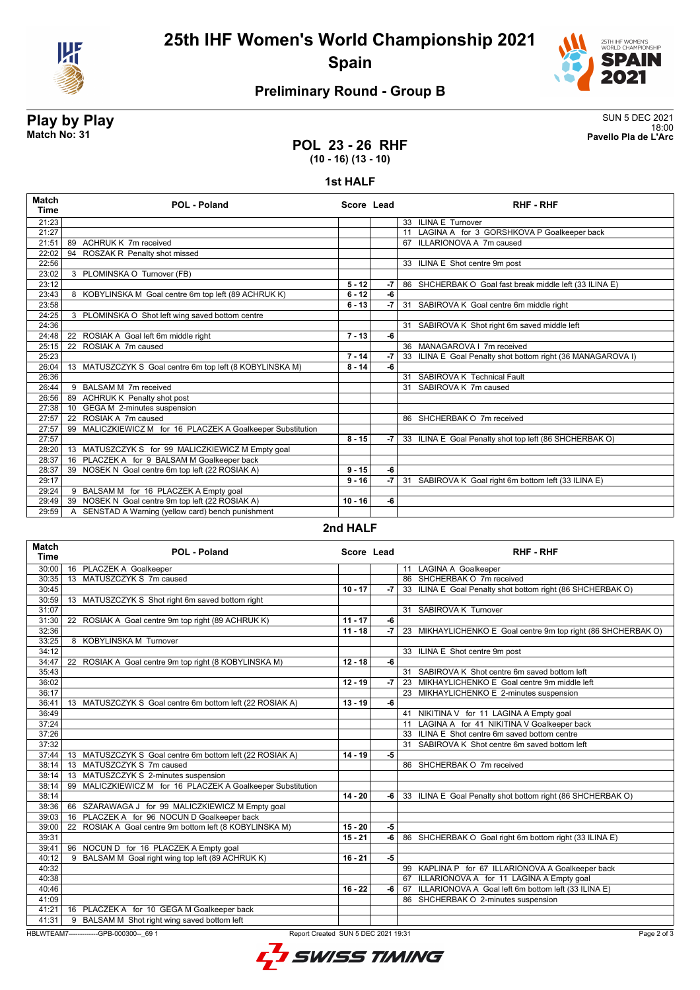

# **25th IHF Women's World Championship 2021 Spain**



## **Preliminary Round - Group B**

**Play by Play**<br>Match No: 31<br>Patch No: 31 18:00 **Match No: 31 Pavello Pla de L'Arc**

### **POL 23 - 26 RHF (10 - 16) (13 - 10)**

#### **1st HALF**

| Match<br>Time | <b>POL - Poland</b>                                            | Score Lead |      | <b>RHF - RHF</b>                                            |
|---------------|----------------------------------------------------------------|------------|------|-------------------------------------------------------------|
| 21:23         |                                                                |            |      | 33 ILINA E Turnover                                         |
| 21:27         |                                                                |            |      | 11 LAGINA A for 3 GORSHKOVA P Goalkeeper back               |
| 21:51         | 89 ACHRUK K 7m received                                        |            |      | 67 ILLARIONOVA A 7m caused                                  |
| 22:02         | ROSZAK R Penalty shot missed<br>94                             |            |      |                                                             |
| 22:56         |                                                                |            |      | 33 ILINA E Shot centre 9m post                              |
| 23:02         | 3 PLOMINSKA O Turnover (FB)                                    |            |      |                                                             |
| 23:12         |                                                                | $5 - 12$   | $-7$ | 86 SHCHERBAK O Goal fast break middle left (33 ILINA E)     |
| 23:43         | 8 KOBYLINSKA M Goal centre 6m top left (89 ACHRUK K)           | $6 - 12$   | -6   |                                                             |
| 23:58         |                                                                | $6 - 13$   | $-7$ | 31 SABIROVA K Goal centre 6m middle right                   |
| 24:25         | 3 PLOMINSKA O Shot left wing saved bottom centre               |            |      |                                                             |
| 24:36         |                                                                |            |      | 31 SABIROVA K Shot right 6m saved middle left               |
| 24:48         | 22 ROSIAK A Goal left 6m middle right                          | $7 - 13$   | -6   |                                                             |
| 25:15         | 22 ROSIAK A 7m caused                                          |            |      | 36 MANAGAROVA   7m received                                 |
| 25:23         |                                                                | $7 - 14$   | $-7$ | 33 ILINA E Goal Penalty shot bottom right (36 MANAGAROVA I) |
| 26:04         | 13 MATUSZCZYK S Goal centre 6m top left (8 KOBYLINSKA M)       | $8 - 14$   | -6   |                                                             |
| 26:36         |                                                                |            |      | 31 SABIROVA K Technical Fault                               |
| 26:44         | 9 BALSAM M 7m received                                         |            |      | 31 SABIROVA K 7m caused                                     |
| 26:56         | 89 ACHRUK K Penalty shot post                                  |            |      |                                                             |
| 27:38         | 10 GEGA M 2-minutes suspension                                 |            |      |                                                             |
| 27:57         | 22 ROSIAK A 7m caused                                          |            |      | 86 SHCHERBAK O 7m received                                  |
| 27:57         | MALICZKIEWICZ M for 16 PLACZEK A Goalkeeper Substitution<br>99 |            |      |                                                             |
| 27:57         |                                                                | $8 - 15$   | $-7$ | 33 ILINA E Goal Penalty shot top left (86 SHCHERBAK O)      |
| 28:20         | 13 MATUSZCZYK S for 99 MALICZKIEWICZ M Empty goal              |            |      |                                                             |
| 28:37         | 16 PLACZEK A for 9 BALSAM M Goalkeeper back                    |            |      |                                                             |
| 28:37         | 39 NOSEK N Goal centre 6m top left (22 ROSIAK A)               | $9 - 15$   | -6   |                                                             |
| 29:17         |                                                                | $9 - 16$   | -7   | 31 SABIROVA K Goal right 6m bottom left (33 ILINA E)        |
| 29:24         | 9 BALSAM M for 16 PLACZEK A Empty goal                         |            |      |                                                             |
| 29:49         | NOSEK N Goal centre 9m top left (22 ROSIAK A)<br>39            | $10 - 16$  | -6   |                                                             |
| 29:59         | SENSTAD A Warning (yellow card) bench punishment<br>A          |            |      |                                                             |

#### **2nd HALF**

| 30:00<br>16 PLACZEK A Goalkeeper<br>11 LAGINA A Goalkeeper<br>13 MATUSZCZYK S 7m caused<br>86 SHCHERBAK O 7m received<br>30:35<br>30:45<br>$10 - 17$<br>33 ILINA E Goal Penalty shot bottom right (86 SHCHERBAK O)<br>-7<br>30:59<br>13 MATUSZCZYK S Shot right 6m saved bottom right<br>31:07<br>31 SABIROVA K Turnover<br>$11 - 17$<br>31:30<br>22 ROSIAK A Goal centre 9m top right (89 ACHRUK K)<br>-6<br>32:36<br>$11 - 18$<br>$-7$<br>23 MIKHAYLICHENKO E Goal centre 9m top right (86 SHCHERBAK O)<br>33:25<br>8 KOBYLINSKA M Turnover<br>34:12<br>33 ILINA E Shot centre 9m post<br>34:47<br>-6<br>22 ROSIAK A Goal centre 9m top right (8 KOBYLINSKA M)<br>$12 - 18$<br>35:43<br>31 SABIROVA K Shot centre 6m saved bottom left<br>36:02<br>23 MIKHAYLICHENKO E Goal centre 9m middle left<br>$12 - 19$<br>$-7$<br>36:17<br>23 MIKHAYLICHENKO E 2-minutes suspension<br>36:41<br>13 MATUSZCZYK S Goal centre 6m bottom left (22 ROSIAK A)<br>$13 - 19$<br>-6<br>36:49<br>41 NIKITINA V for 11 LAGINA A Empty goal<br>37:24<br>11 LAGINA A for 41 NIKITINA V Goalkeeper back<br>37:26<br>33 ILINA E Shot centre 6m saved bottom centre<br>37:32<br>31 SABIROVA K Shot centre 6m saved bottom left<br>37:44<br>$14 - 19$<br>-5<br>13 MATUSZCZYK S Goal centre 6m bottom left (22 ROSIAK A)<br>13 MATUSZCZYK S 7m caused<br>38:14<br>86 SHCHERBAK O 7m received<br>38:14<br>13 MATUSZCZYK S 2-minutes suspension<br>99 MALICZKIEWICZ M for 16 PLACZEK A Goalkeeper Substitution<br>38:14<br>38:14<br>$14 - 20$<br>-6<br>33 ILINA E Goal Penalty shot bottom right (86 SHCHERBAK O)<br>38:36   66 SZARAWAGA J for 99 MALICZKIEWICZ M Empty goal<br>16 PLACZEK A for 96 NOCUN D Goalkeeper back<br>39:03<br>22 ROSIAK A Goal centre 9m bottom left (8 KOBYLINSKA M)<br>$15 - 20$<br>$-5$<br>39:00<br>-6<br>39:31<br>$15 - 21$<br>86 SHCHERBAK O Goal right 6m bottom right (33 ILINA E)<br>39:41<br>96 NOCUN D for 16 PLACZEK A Empty goal<br>9 BALSAM M Goal right wing top left (89 ACHRUK K)<br>$-5$<br>40:12<br>$16 - 21$<br>40:32<br>99 KAPLINA P for 67 ILLARIONOVA A Goalkeeper back<br>40:38<br>67 ILLARIONOVA A for 11 LAGINA A Empty goal<br>67 ILLARIONOVA A Goal left 6m bottom left (33 ILINA E)<br>40:46<br>$16 - 22$<br>-6<br>41:09<br>86 SHCHERBAK O 2-minutes suspension<br>41:21<br>16 PLACZEK A for 10 GEGA M Goalkeeper back | <b>Match</b><br><b>Time</b> | POL - Poland | Score Lead | <b>RHF - RHF</b> |
|------------------------------------------------------------------------------------------------------------------------------------------------------------------------------------------------------------------------------------------------------------------------------------------------------------------------------------------------------------------------------------------------------------------------------------------------------------------------------------------------------------------------------------------------------------------------------------------------------------------------------------------------------------------------------------------------------------------------------------------------------------------------------------------------------------------------------------------------------------------------------------------------------------------------------------------------------------------------------------------------------------------------------------------------------------------------------------------------------------------------------------------------------------------------------------------------------------------------------------------------------------------------------------------------------------------------------------------------------------------------------------------------------------------------------------------------------------------------------------------------------------------------------------------------------------------------------------------------------------------------------------------------------------------------------------------------------------------------------------------------------------------------------------------------------------------------------------------------------------------------------------------------------------------------------------------------------------------------------------------------------------------------------------------------------------------------------------------------------------------------------------------------------------------------------------------------------------------------------------------------------------------------------------------------------------------------------------------------------|-----------------------------|--------------|------------|------------------|
|                                                                                                                                                                                                                                                                                                                                                                                                                                                                                                                                                                                                                                                                                                                                                                                                                                                                                                                                                                                                                                                                                                                                                                                                                                                                                                                                                                                                                                                                                                                                                                                                                                                                                                                                                                                                                                                                                                                                                                                                                                                                                                                                                                                                                                                                                                                                                      |                             |              |            |                  |
|                                                                                                                                                                                                                                                                                                                                                                                                                                                                                                                                                                                                                                                                                                                                                                                                                                                                                                                                                                                                                                                                                                                                                                                                                                                                                                                                                                                                                                                                                                                                                                                                                                                                                                                                                                                                                                                                                                                                                                                                                                                                                                                                                                                                                                                                                                                                                      |                             |              |            |                  |
|                                                                                                                                                                                                                                                                                                                                                                                                                                                                                                                                                                                                                                                                                                                                                                                                                                                                                                                                                                                                                                                                                                                                                                                                                                                                                                                                                                                                                                                                                                                                                                                                                                                                                                                                                                                                                                                                                                                                                                                                                                                                                                                                                                                                                                                                                                                                                      |                             |              |            |                  |
|                                                                                                                                                                                                                                                                                                                                                                                                                                                                                                                                                                                                                                                                                                                                                                                                                                                                                                                                                                                                                                                                                                                                                                                                                                                                                                                                                                                                                                                                                                                                                                                                                                                                                                                                                                                                                                                                                                                                                                                                                                                                                                                                                                                                                                                                                                                                                      |                             |              |            |                  |
|                                                                                                                                                                                                                                                                                                                                                                                                                                                                                                                                                                                                                                                                                                                                                                                                                                                                                                                                                                                                                                                                                                                                                                                                                                                                                                                                                                                                                                                                                                                                                                                                                                                                                                                                                                                                                                                                                                                                                                                                                                                                                                                                                                                                                                                                                                                                                      |                             |              |            |                  |
|                                                                                                                                                                                                                                                                                                                                                                                                                                                                                                                                                                                                                                                                                                                                                                                                                                                                                                                                                                                                                                                                                                                                                                                                                                                                                                                                                                                                                                                                                                                                                                                                                                                                                                                                                                                                                                                                                                                                                                                                                                                                                                                                                                                                                                                                                                                                                      |                             |              |            |                  |
|                                                                                                                                                                                                                                                                                                                                                                                                                                                                                                                                                                                                                                                                                                                                                                                                                                                                                                                                                                                                                                                                                                                                                                                                                                                                                                                                                                                                                                                                                                                                                                                                                                                                                                                                                                                                                                                                                                                                                                                                                                                                                                                                                                                                                                                                                                                                                      |                             |              |            |                  |
|                                                                                                                                                                                                                                                                                                                                                                                                                                                                                                                                                                                                                                                                                                                                                                                                                                                                                                                                                                                                                                                                                                                                                                                                                                                                                                                                                                                                                                                                                                                                                                                                                                                                                                                                                                                                                                                                                                                                                                                                                                                                                                                                                                                                                                                                                                                                                      |                             |              |            |                  |
|                                                                                                                                                                                                                                                                                                                                                                                                                                                                                                                                                                                                                                                                                                                                                                                                                                                                                                                                                                                                                                                                                                                                                                                                                                                                                                                                                                                                                                                                                                                                                                                                                                                                                                                                                                                                                                                                                                                                                                                                                                                                                                                                                                                                                                                                                                                                                      |                             |              |            |                  |
|                                                                                                                                                                                                                                                                                                                                                                                                                                                                                                                                                                                                                                                                                                                                                                                                                                                                                                                                                                                                                                                                                                                                                                                                                                                                                                                                                                                                                                                                                                                                                                                                                                                                                                                                                                                                                                                                                                                                                                                                                                                                                                                                                                                                                                                                                                                                                      |                             |              |            |                  |
|                                                                                                                                                                                                                                                                                                                                                                                                                                                                                                                                                                                                                                                                                                                                                                                                                                                                                                                                                                                                                                                                                                                                                                                                                                                                                                                                                                                                                                                                                                                                                                                                                                                                                                                                                                                                                                                                                                                                                                                                                                                                                                                                                                                                                                                                                                                                                      |                             |              |            |                  |
|                                                                                                                                                                                                                                                                                                                                                                                                                                                                                                                                                                                                                                                                                                                                                                                                                                                                                                                                                                                                                                                                                                                                                                                                                                                                                                                                                                                                                                                                                                                                                                                                                                                                                                                                                                                                                                                                                                                                                                                                                                                                                                                                                                                                                                                                                                                                                      |                             |              |            |                  |
|                                                                                                                                                                                                                                                                                                                                                                                                                                                                                                                                                                                                                                                                                                                                                                                                                                                                                                                                                                                                                                                                                                                                                                                                                                                                                                                                                                                                                                                                                                                                                                                                                                                                                                                                                                                                                                                                                                                                                                                                                                                                                                                                                                                                                                                                                                                                                      |                             |              |            |                  |
|                                                                                                                                                                                                                                                                                                                                                                                                                                                                                                                                                                                                                                                                                                                                                                                                                                                                                                                                                                                                                                                                                                                                                                                                                                                                                                                                                                                                                                                                                                                                                                                                                                                                                                                                                                                                                                                                                                                                                                                                                                                                                                                                                                                                                                                                                                                                                      |                             |              |            |                  |
|                                                                                                                                                                                                                                                                                                                                                                                                                                                                                                                                                                                                                                                                                                                                                                                                                                                                                                                                                                                                                                                                                                                                                                                                                                                                                                                                                                                                                                                                                                                                                                                                                                                                                                                                                                                                                                                                                                                                                                                                                                                                                                                                                                                                                                                                                                                                                      |                             |              |            |                  |
|                                                                                                                                                                                                                                                                                                                                                                                                                                                                                                                                                                                                                                                                                                                                                                                                                                                                                                                                                                                                                                                                                                                                                                                                                                                                                                                                                                                                                                                                                                                                                                                                                                                                                                                                                                                                                                                                                                                                                                                                                                                                                                                                                                                                                                                                                                                                                      |                             |              |            |                  |
|                                                                                                                                                                                                                                                                                                                                                                                                                                                                                                                                                                                                                                                                                                                                                                                                                                                                                                                                                                                                                                                                                                                                                                                                                                                                                                                                                                                                                                                                                                                                                                                                                                                                                                                                                                                                                                                                                                                                                                                                                                                                                                                                                                                                                                                                                                                                                      |                             |              |            |                  |
|                                                                                                                                                                                                                                                                                                                                                                                                                                                                                                                                                                                                                                                                                                                                                                                                                                                                                                                                                                                                                                                                                                                                                                                                                                                                                                                                                                                                                                                                                                                                                                                                                                                                                                                                                                                                                                                                                                                                                                                                                                                                                                                                                                                                                                                                                                                                                      |                             |              |            |                  |
|                                                                                                                                                                                                                                                                                                                                                                                                                                                                                                                                                                                                                                                                                                                                                                                                                                                                                                                                                                                                                                                                                                                                                                                                                                                                                                                                                                                                                                                                                                                                                                                                                                                                                                                                                                                                                                                                                                                                                                                                                                                                                                                                                                                                                                                                                                                                                      |                             |              |            |                  |
|                                                                                                                                                                                                                                                                                                                                                                                                                                                                                                                                                                                                                                                                                                                                                                                                                                                                                                                                                                                                                                                                                                                                                                                                                                                                                                                                                                                                                                                                                                                                                                                                                                                                                                                                                                                                                                                                                                                                                                                                                                                                                                                                                                                                                                                                                                                                                      |                             |              |            |                  |
|                                                                                                                                                                                                                                                                                                                                                                                                                                                                                                                                                                                                                                                                                                                                                                                                                                                                                                                                                                                                                                                                                                                                                                                                                                                                                                                                                                                                                                                                                                                                                                                                                                                                                                                                                                                                                                                                                                                                                                                                                                                                                                                                                                                                                                                                                                                                                      |                             |              |            |                  |
|                                                                                                                                                                                                                                                                                                                                                                                                                                                                                                                                                                                                                                                                                                                                                                                                                                                                                                                                                                                                                                                                                                                                                                                                                                                                                                                                                                                                                                                                                                                                                                                                                                                                                                                                                                                                                                                                                                                                                                                                                                                                                                                                                                                                                                                                                                                                                      |                             |              |            |                  |
|                                                                                                                                                                                                                                                                                                                                                                                                                                                                                                                                                                                                                                                                                                                                                                                                                                                                                                                                                                                                                                                                                                                                                                                                                                                                                                                                                                                                                                                                                                                                                                                                                                                                                                                                                                                                                                                                                                                                                                                                                                                                                                                                                                                                                                                                                                                                                      |                             |              |            |                  |
|                                                                                                                                                                                                                                                                                                                                                                                                                                                                                                                                                                                                                                                                                                                                                                                                                                                                                                                                                                                                                                                                                                                                                                                                                                                                                                                                                                                                                                                                                                                                                                                                                                                                                                                                                                                                                                                                                                                                                                                                                                                                                                                                                                                                                                                                                                                                                      |                             |              |            |                  |
|                                                                                                                                                                                                                                                                                                                                                                                                                                                                                                                                                                                                                                                                                                                                                                                                                                                                                                                                                                                                                                                                                                                                                                                                                                                                                                                                                                                                                                                                                                                                                                                                                                                                                                                                                                                                                                                                                                                                                                                                                                                                                                                                                                                                                                                                                                                                                      |                             |              |            |                  |
|                                                                                                                                                                                                                                                                                                                                                                                                                                                                                                                                                                                                                                                                                                                                                                                                                                                                                                                                                                                                                                                                                                                                                                                                                                                                                                                                                                                                                                                                                                                                                                                                                                                                                                                                                                                                                                                                                                                                                                                                                                                                                                                                                                                                                                                                                                                                                      |                             |              |            |                  |
|                                                                                                                                                                                                                                                                                                                                                                                                                                                                                                                                                                                                                                                                                                                                                                                                                                                                                                                                                                                                                                                                                                                                                                                                                                                                                                                                                                                                                                                                                                                                                                                                                                                                                                                                                                                                                                                                                                                                                                                                                                                                                                                                                                                                                                                                                                                                                      |                             |              |            |                  |
|                                                                                                                                                                                                                                                                                                                                                                                                                                                                                                                                                                                                                                                                                                                                                                                                                                                                                                                                                                                                                                                                                                                                                                                                                                                                                                                                                                                                                                                                                                                                                                                                                                                                                                                                                                                                                                                                                                                                                                                                                                                                                                                                                                                                                                                                                                                                                      |                             |              |            |                  |
|                                                                                                                                                                                                                                                                                                                                                                                                                                                                                                                                                                                                                                                                                                                                                                                                                                                                                                                                                                                                                                                                                                                                                                                                                                                                                                                                                                                                                                                                                                                                                                                                                                                                                                                                                                                                                                                                                                                                                                                                                                                                                                                                                                                                                                                                                                                                                      |                             |              |            |                  |
|                                                                                                                                                                                                                                                                                                                                                                                                                                                                                                                                                                                                                                                                                                                                                                                                                                                                                                                                                                                                                                                                                                                                                                                                                                                                                                                                                                                                                                                                                                                                                                                                                                                                                                                                                                                                                                                                                                                                                                                                                                                                                                                                                                                                                                                                                                                                                      |                             |              |            |                  |
|                                                                                                                                                                                                                                                                                                                                                                                                                                                                                                                                                                                                                                                                                                                                                                                                                                                                                                                                                                                                                                                                                                                                                                                                                                                                                                                                                                                                                                                                                                                                                                                                                                                                                                                                                                                                                                                                                                                                                                                                                                                                                                                                                                                                                                                                                                                                                      |                             |              |            |                  |
|                                                                                                                                                                                                                                                                                                                                                                                                                                                                                                                                                                                                                                                                                                                                                                                                                                                                                                                                                                                                                                                                                                                                                                                                                                                                                                                                                                                                                                                                                                                                                                                                                                                                                                                                                                                                                                                                                                                                                                                                                                                                                                                                                                                                                                                                                                                                                      |                             |              |            |                  |
|                                                                                                                                                                                                                                                                                                                                                                                                                                                                                                                                                                                                                                                                                                                                                                                                                                                                                                                                                                                                                                                                                                                                                                                                                                                                                                                                                                                                                                                                                                                                                                                                                                                                                                                                                                                                                                                                                                                                                                                                                                                                                                                                                                                                                                                                                                                                                      |                             |              |            |                  |
|                                                                                                                                                                                                                                                                                                                                                                                                                                                                                                                                                                                                                                                                                                                                                                                                                                                                                                                                                                                                                                                                                                                                                                                                                                                                                                                                                                                                                                                                                                                                                                                                                                                                                                                                                                                                                                                                                                                                                                                                                                                                                                                                                                                                                                                                                                                                                      |                             |              |            |                  |
| 41:31<br>9 BALSAM M Shot right wing saved bottom left                                                                                                                                                                                                                                                                                                                                                                                                                                                                                                                                                                                                                                                                                                                                                                                                                                                                                                                                                                                                                                                                                                                                                                                                                                                                                                                                                                                                                                                                                                                                                                                                                                                                                                                                                                                                                                                                                                                                                                                                                                                                                                                                                                                                                                                                                                |                             |              |            |                  |

HBLWTEAM7-------------GPB-000300--\_69 1 Report Created SUN 5 DEC 2021 19:31